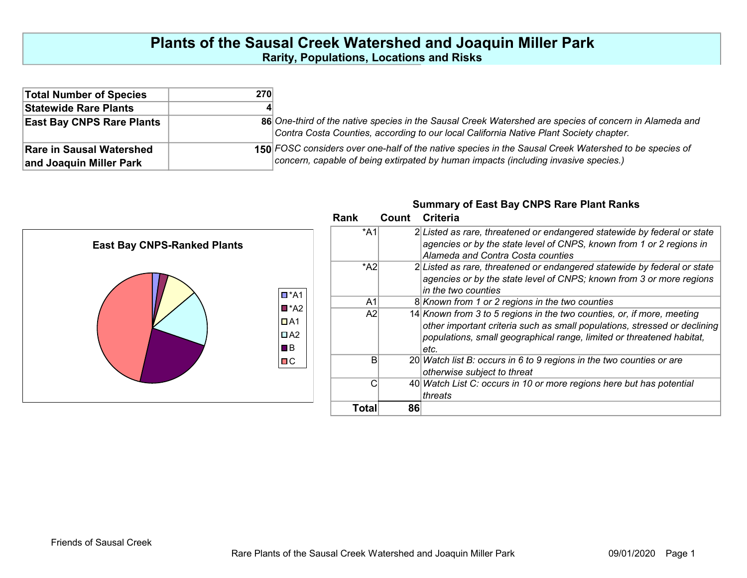## Plants of the Sausal Creek Watershed and Joaquin Miller Park Rarity, Populations, Locations and Risks

| <b>Total Number of Species</b>   | 270 |                                                                                                                                                                                                  |
|----------------------------------|-----|--------------------------------------------------------------------------------------------------------------------------------------------------------------------------------------------------|
| Statewide Rare Plants            |     |                                                                                                                                                                                                  |
| <b>East Bay CNPS Rare Plants</b> |     | 86 One-third of the native species in the Sausal Creek Watershed are species of concern in Alameda and<br>Contra Costa Counties, according to our local California Native Plant Society chapter. |
| <b>Rare in Sausal Watershed</b>  |     | 150 FOSC considers over one-half of the native species in the Sausal Creek Watershed to be species of                                                                                            |
| and Joaquin Miller Park          |     | concern, capable of being extirpated by human impacts (including invasive species.)                                                                                                              |

Summary of East Bay CNPS Rare Plant Ranks

|                                    | Rank           | <b>Criteria</b><br>Count                                                  |
|------------------------------------|----------------|---------------------------------------------------------------------------|
|                                    | *A1            | 2 Listed as rare, threatened or endangered statewide by federal or state  |
| <b>East Bay CNPS-Ranked Plants</b> |                | agencies or by the state level of CNPS, known from 1 or 2 regions in      |
|                                    |                | Alameda and Contra Costa counties                                         |
|                                    | $^*$ A2        | 2 Listed as rare, threatened or endangered statewide by federal or state  |
|                                    |                | agencies or by the state level of CNPS; known from 3 or more regions      |
| $\Box$ *A1                         |                | in the two counties                                                       |
| $\blacksquare$ *A2                 | A <sub>1</sub> | 8 Known from 1 or 2 regions in the two counties                           |
|                                    | A2             | 14 Known from 3 to 5 regions in the two counties, or, if more, meeting    |
| $\Box$ A1                          |                | other important criteria such as small populations, stressed or declining |
| $\Box$ A2                          |                | populations, small geographical range, limited or threatened habitat,     |
| $\blacksquare$ B                   |                | letc.                                                                     |
| $\Box C$                           |                | 20 Watch list B: occurs in 6 to 9 regions in the two counties or are      |
|                                    |                | otherwise subject to threat                                               |
|                                    |                | 40 Watch List C: occurs in 10 or more regions here but has potential      |
|                                    |                | threats                                                                   |
|                                    | <b>Total</b>   | 86                                                                        |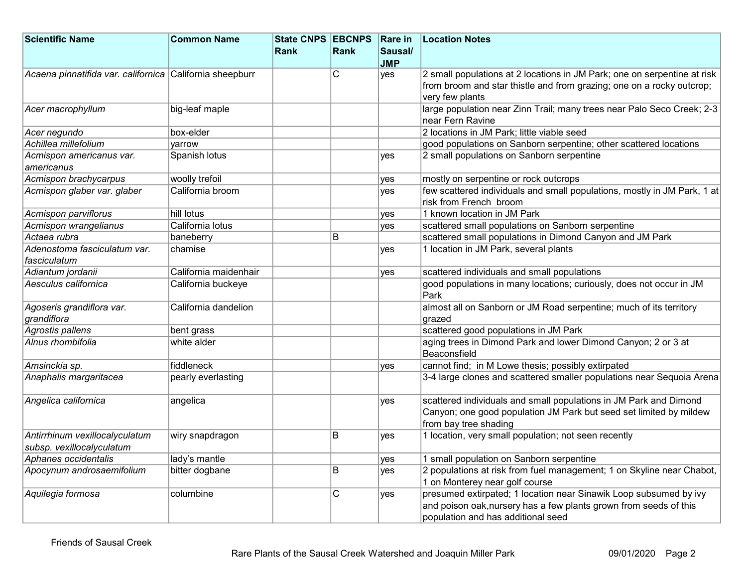| <b>Scientific Name</b>                                   | <b>Common Name</b>    | State CNPS EBCNPS Rare in |      |            | <b>Location Notes</b>                                                       |
|----------------------------------------------------------|-----------------------|---------------------------|------|------------|-----------------------------------------------------------------------------|
|                                                          |                       | Rank                      | Rank | Sausal/    |                                                                             |
|                                                          |                       |                           |      | <b>JMP</b> |                                                                             |
| Acaena pinnatifida var. californica California sheepburr |                       |                           | C    | yes        | 2 small populations at 2 locations in JM Park; one on serpentine at risk    |
|                                                          |                       |                           |      |            | from broom and star thistle and from grazing; one on a rocky outcrop;       |
|                                                          |                       |                           |      |            | very few plants                                                             |
| Acer macrophyllum                                        | big-leaf maple        |                           |      |            | large population near Zinn Trail; many trees near Palo Seco Creek; 2-3      |
|                                                          |                       |                           |      |            | near Fern Ravine                                                            |
| Acer negundo                                             | box-elder             |                           |      |            | 2 locations in JM Park; little viable seed                                  |
| Achillea millefolium                                     | varrow                |                           |      |            | good populations on Sanborn serpentine; other scattered locations           |
| Acmispon americanus var.                                 | Spanish lotus         |                           |      | <b>ves</b> | 2 small populations on Sanborn serpentine                                   |
| americanus                                               |                       |                           |      |            |                                                                             |
| Acmispon brachycarpus                                    | woolly trefoil        |                           |      | yes        | mostly on serpentine or rock outcrops                                       |
| Acmispon glaber var. glaber                              | California broom      |                           |      | yes        | few scattered individuals and small populations, mostly in JM Park, 1 at    |
|                                                          |                       |                           |      |            | risk from French broom                                                      |
| Acmispon parviflorus                                     | hill lotus            |                           |      | yes        | 1 known location in JM Park                                                 |
| Acmispon wrangelianus                                    | California lotus      |                           |      | <b>ves</b> | scattered small populations on Sanborn serpentine                           |
| Actaea rubra                                             | baneberry             |                           | B    |            | scattered small populations in Dimond Canyon and JM Park                    |
| Adenostoma fasciculatum var.                             | chamise               |                           |      | <b>ves</b> | 1 location in JM Park, several plants                                       |
| fasciculatum                                             |                       |                           |      |            |                                                                             |
| Adiantum jordanii                                        | California maidenhair |                           |      | ves        | scattered individuals and small populations                                 |
| Aesculus californica                                     | California buckeye    |                           |      |            | good populations in many locations; curiously, does not occur in JM<br>Park |
| Agoseris grandiflora var.                                | California dandelion  |                           |      |            | almost all on Sanborn or JM Road serpentine; much of its territory          |
| grandiflora                                              |                       |                           |      |            | grazed                                                                      |
| Agrostis pallens                                         | bent grass            |                           |      |            | scattered good populations in JM Park                                       |
| Alnus rhombifolia                                        | white alder           |                           |      |            | aging trees in Dimond Park and lower Dimond Canyon; 2 or 3 at               |
|                                                          |                       |                           |      |            | Beaconsfield                                                                |
| Amsinckia sp.                                            | fiddleneck            |                           |      | ves        | cannot find; in M Lowe thesis; possibly extirpated                          |
| Anaphalis margaritacea                                   | pearly everlasting    |                           |      |            | 3-4 large clones and scattered smaller populations near Sequoia Arena       |
| Angelica californica                                     | angelica              |                           |      | yes        | scattered individuals and small populations in JM Park and Dimond           |
|                                                          |                       |                           |      |            | Canyon; one good population JM Park but seed set limited by mildew          |
|                                                          |                       |                           |      |            | from bay tree shading                                                       |
| Antirrhinum vexillocalyculatum                           | wiry snapdragon       |                           | B    | yes        | 1 location, very small population; not seen recently                        |
| subsp. vexillocalyculatum                                |                       |                           |      |            |                                                                             |
| Aphanes occidentalis                                     | lady's mantle         |                           |      | yes        | 1 small population on Sanborn serpentine                                    |
| Apocynum androsaemifolium                                | bitter dogbane        |                           | B    | <b>ves</b> | 2 populations at risk from fuel management; 1 on Skyline near Chabot,       |
|                                                          |                       |                           |      |            | 1 on Monterey near golf course                                              |
| Aquilegia formosa                                        | columbine             |                           | C    | yes        | presumed extirpated; 1 location near Sinawik Loop subsumed by ivy           |
|                                                          |                       |                           |      |            | and poison oak, nursery has a few plants grown from seeds of this           |
|                                                          |                       |                           |      |            | population and has additional seed                                          |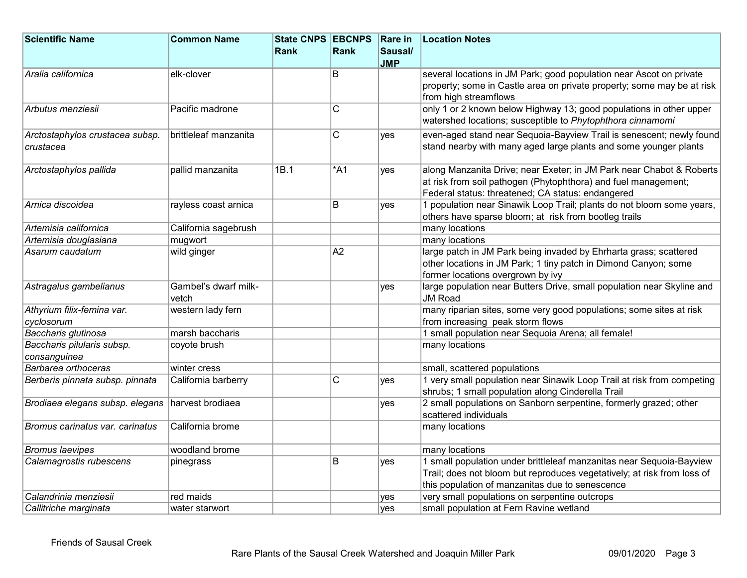| <b>Scientific Name</b>                           | <b>Common Name</b>            | <b>State CNPS EBCNPS</b> |                 | <b>Rare in</b> | <b>Location Notes</b>                                                                                                                                                                              |
|--------------------------------------------------|-------------------------------|--------------------------|-----------------|----------------|----------------------------------------------------------------------------------------------------------------------------------------------------------------------------------------------------|
|                                                  |                               | <b>Rank</b>              | Rank            | Sausal/        |                                                                                                                                                                                                    |
|                                                  |                               |                          |                 | <b>JMP</b>     |                                                                                                                                                                                                    |
| Aralia californica                               | elk-clover                    |                          | B               |                | several locations in JM Park; good population near Ascot on private<br>property; some in Castle area on private property; some may be at risk<br>from high streamflows                             |
| Arbutus menziesii                                | Pacific madrone               |                          | $\overline{C}$  |                | only 1 or 2 known below Highway 13; good populations in other upper<br>watershed locations; susceptible to Phytophthora cinnamomi                                                                  |
| Arctostaphylos crustacea subsp.<br>crustacea     | brittleleaf manzanita         |                          | $\mathsf{C}$    | <b>ves</b>     | even-aged stand near Sequoia-Bayview Trail is senescent; newly found<br>stand nearby with many aged large plants and some younger plants                                                           |
| Arctostaphylos pallida                           | pallid manzanita              | 1B.1                     | $*$ A1          | <b>ves</b>     | along Manzanita Drive; near Exeter; in JM Park near Chabot & Roberts<br>at risk from soil pathogen (Phytophthora) and fuel management;<br>Federal status: threatened; CA status: endangered        |
| Arnica discoidea                                 | rayless coast arnica          |                          | B               | ves            | 1 population near Sinawik Loop Trail; plants do not bloom some years,<br>others have sparse bloom; at risk from bootleg trails                                                                     |
| Artemisia californica                            | California sagebrush          |                          |                 |                | many locations                                                                                                                                                                                     |
| Artemisia douglasiana                            | mugwort                       |                          |                 |                | many locations                                                                                                                                                                                     |
| Asarum caudatum                                  | wild ginger                   |                          | $\overline{A2}$ |                | large patch in JM Park being invaded by Ehrharta grass; scattered<br>other locations in JM Park; 1 tiny patch in Dimond Canyon; some<br>former locations overgrown by ivy                          |
| Astragalus gambelianus                           | Gambel's dwarf milk-<br>vetch |                          |                 | ves            | large population near Butters Drive, small population near Skyline and<br><b>JM Road</b>                                                                                                           |
| Athyrium filix-femina var.<br>cyclosorum         | western lady fern             |                          |                 |                | many riparian sites, some very good populations; some sites at risk<br>from increasing peak storm flows                                                                                            |
| Baccharis glutinosa                              | marsh baccharis               |                          |                 |                | 1 small population near Sequoia Arena; all female!                                                                                                                                                 |
| Baccharis pilularis subsp.<br>consanguinea       | coyote brush                  |                          |                 |                | many locations                                                                                                                                                                                     |
| Barbarea orthoceras                              | winter cress                  |                          |                 |                | small, scattered populations                                                                                                                                                                       |
| Berberis pinnata subsp. pinnata                  | California barberry           |                          | C               | ves            | 1 very small population near Sinawik Loop Trail at risk from competing<br>shrubs; 1 small population along Cinderella Trail                                                                        |
| Brodiaea elegans subsp. elegans harvest brodiaea |                               |                          |                 | yes            | 2 small populations on Sanborn serpentine, formerly grazed; other<br>scattered individuals                                                                                                         |
| Bromus carinatus var. carinatus                  | California brome              |                          |                 |                | many locations                                                                                                                                                                                     |
| <b>Bromus laevipes</b>                           | woodland brome                |                          |                 |                | many locations                                                                                                                                                                                     |
| Calamagrostis rubescens                          | pinegrass                     |                          | B               | ves            | 1 small population under brittleleaf manzanitas near Sequoia-Bayview<br>Trail; does not bloom but reproduces vegetatively; at risk from loss of<br>this population of manzanitas due to senescence |
| Calandrinia menziesii                            | red maids                     |                          |                 | yes            | very small populations on serpentine outcrops                                                                                                                                                      |
| Callitriche marginata                            | water starwort                |                          |                 | yes            | small population at Fern Ravine wetland                                                                                                                                                            |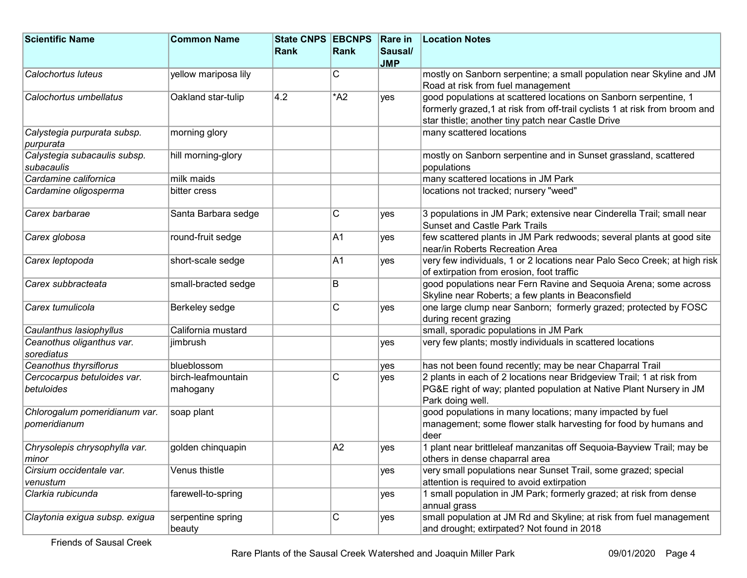| <b>Scientific Name</b>         | <b>Common Name</b>   | State CNPS EBCNPS |        | Rare in    | <b>Location Notes</b>                                                                                         |
|--------------------------------|----------------------|-------------------|--------|------------|---------------------------------------------------------------------------------------------------------------|
|                                |                      | <b>Rank</b>       | Rank   | Sausal/    |                                                                                                               |
|                                |                      |                   |        | <b>JMP</b> |                                                                                                               |
| Calochortus luteus             | yellow mariposa lily |                   | C      |            | mostly on Sanborn serpentine; a small population near Skyline and JM                                          |
|                                |                      |                   |        |            | Road at risk from fuel management                                                                             |
| Calochortus umbellatus         | Oakland star-tulip   | 4.2               | $*$ A2 | yes        | good populations at scattered locations on Sanborn serpentine, 1                                              |
|                                |                      |                   |        |            | formerly grazed, 1 at risk from off-trail cyclists 1 at risk from broom and                                   |
|                                |                      |                   |        |            | star thistle; another tiny patch near Castle Drive                                                            |
| Calystegia purpurata subsp.    | morning glory        |                   |        |            | many scattered locations                                                                                      |
| purpurata                      |                      |                   |        |            |                                                                                                               |
| Calystegia subacaulis subsp.   | hill morning-glory   |                   |        |            | mostly on Sanborn serpentine and in Sunset grassland, scattered                                               |
| subacaulis                     |                      |                   |        |            | populations                                                                                                   |
| Cardamine californica          | milk maids           |                   |        |            | many scattered locations in JM Park                                                                           |
| Cardamine oligosperma          | bitter cress         |                   |        |            | locations not tracked; nursery "weed"                                                                         |
| Carex barbarae                 |                      |                   | C      |            |                                                                                                               |
|                                | Santa Barbara sedge  |                   |        | yes        | 3 populations in JM Park; extensive near Cinderella Trail; small near<br><b>Sunset and Castle Park Trails</b> |
| Carex globosa                  | round-fruit sedge    |                   | A1     |            | few scattered plants in JM Park redwoods; several plants at good site                                         |
|                                |                      |                   |        | yes        | near/in Roberts Recreation Area                                                                               |
| Carex leptopoda                | short-scale sedge    |                   | A1     |            | very few individuals, 1 or 2 locations near Palo Seco Creek; at high risk                                     |
|                                |                      |                   |        | yes        | of extirpation from erosion, foot traffic                                                                     |
| Carex subbracteata             | small-bracted sedge  |                   | B      |            | good populations near Fern Ravine and Sequoia Arena; some across                                              |
|                                |                      |                   |        |            | Skyline near Roberts; a few plants in Beaconsfield                                                            |
| Carex tumulicola               | Berkeley sedge       |                   | C      | yes        | one large clump near Sanborn; formerly grazed; protected by FOSC                                              |
|                                |                      |                   |        |            | during recent grazing                                                                                         |
| Caulanthus lasiophyllus        | California mustard   |                   |        |            | small, sporadic populations in JM Park                                                                        |
| Ceanothus oliganthus var.      | jimbrush             |                   |        | yes        | very few plants; mostly individuals in scattered locations                                                    |
| sorediatus                     |                      |                   |        |            |                                                                                                               |
| Ceanothus thyrsiflorus         | blueblossom          |                   |        | yes        | has not been found recently; may be near Chaparral Trail                                                      |
| Cercocarpus betuloides var.    | birch-leafmountain   |                   | C      | yes        | 2 plants in each of 2 locations near Bridgeview Trail; 1 at risk from                                         |
| betuloides                     | mahogany             |                   |        |            | PG&E right of way; planted population at Native Plant Nursery in JM                                           |
|                                |                      |                   |        |            | Park doing well.                                                                                              |
| Chlorogalum pomeridianum var.  | soap plant           |                   |        |            | good populations in many locations; many impacted by fuel                                                     |
| pomeridianum                   |                      |                   |        |            | management; some flower stalk harvesting for food by humans and                                               |
|                                |                      |                   |        |            | ∣deer                                                                                                         |
| Chrysolepis chrysophylla var.  | golden chinquapin    |                   | A2     | yes        | 1 plant near brittleleaf manzanitas off Sequoia-Bayview Trail; may be                                         |
| minor                          |                      |                   |        |            | others in dense chaparral area                                                                                |
| Cirsium occidentale var.       | Venus thistle        |                   |        | yes        | very small populations near Sunset Trail, some grazed; special                                                |
| venustum                       |                      |                   |        |            | attention is required to avoid extirpation                                                                    |
| Clarkia rubicunda              | farewell-to-spring   |                   |        | yes        | 1 small population in JM Park; formerly grazed; at risk from dense                                            |
|                                |                      |                   |        |            | annual grass                                                                                                  |
| Claytonia exigua subsp. exigua | serpentine spring    |                   | C      | yes        | small population at JM Rd and Skyline; at risk from fuel management                                           |
|                                | beauty               |                   |        |            | and drought; extirpated? Not found in 2018                                                                    |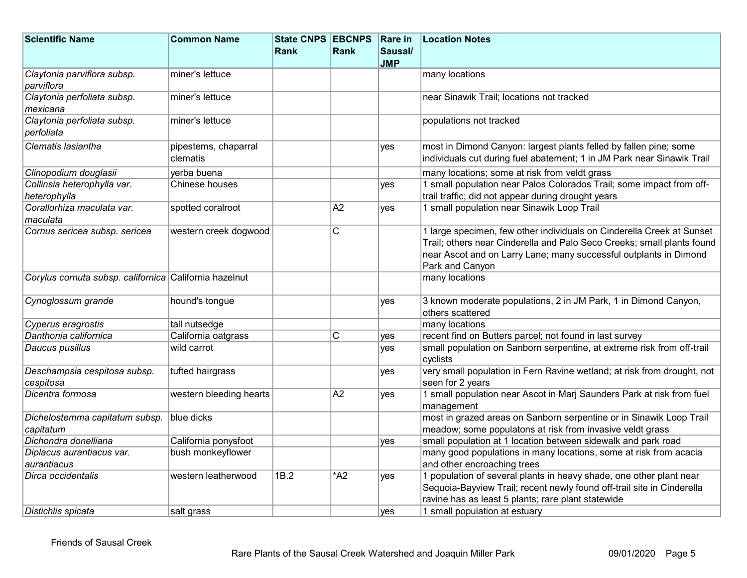| <b>Scientific Name</b>                                 | <b>Common Name</b>               | <b>State CNPS EBCNPS</b> |                         | <b>Rare in</b> | <b>Location Notes</b>                                                                                                                       |
|--------------------------------------------------------|----------------------------------|--------------------------|-------------------------|----------------|---------------------------------------------------------------------------------------------------------------------------------------------|
|                                                        |                                  | <b>Rank</b>              | Rank                    | Sausal/        |                                                                                                                                             |
|                                                        |                                  |                          |                         | <b>JMP</b>     |                                                                                                                                             |
| Claytonia parviflora subsp.<br>parviflora              | miner's lettuce                  |                          |                         |                | many locations                                                                                                                              |
| Claytonia perfoliata subsp.                            | miner's lettuce                  |                          |                         |                | near Sinawik Trail; locations not tracked                                                                                                   |
| mexicana                                               |                                  |                          |                         |                |                                                                                                                                             |
| Claytonia perfoliata subsp.<br>perfoliata              | miner's lettuce                  |                          |                         |                | populations not tracked                                                                                                                     |
| Clematis lasiantha                                     | pipestems, chaparral<br>clematis |                          |                         | yes            | most in Dimond Canyon: largest plants felled by fallen pine; some<br>individuals cut during fuel abatement; 1 in JM Park near Sinawik Trail |
| Clinopodium douglasii                                  | yerba buena                      |                          |                         |                | many locations; some at risk from veldt grass                                                                                               |
| Collinsia heterophylla var.                            | Chinese houses                   |                          |                         | yes            | 1 small population near Palos Colorados Trail; some impact from off-                                                                        |
| heterophylla                                           |                                  |                          |                         |                | trail traffic; did not appear during drought years                                                                                          |
| Corallorhiza maculata var.                             | spotted coralroot                |                          | A2                      | ves            | 1 small population near Sinawik Loop Trail                                                                                                  |
| maculata                                               |                                  |                          |                         |                |                                                                                                                                             |
| Cornus sericea subsp. sericea                          | western creek dogwood            |                          | $\overline{\mathsf{C}}$ |                | 1 large specimen, few other individuals on Cinderella Creek at Sunset                                                                       |
|                                                        |                                  |                          |                         |                | Trail; others near Cinderella and Palo Seco Creeks; small plants found                                                                      |
|                                                        |                                  |                          |                         |                | near Ascot and on Larry Lane; many successful outplants in Dimond                                                                           |
|                                                        |                                  |                          |                         |                | Park and Canyon                                                                                                                             |
| Corylus cornuta subsp. californica California hazelnut |                                  |                          |                         |                | many locations                                                                                                                              |
| Cynoglossum grande                                     | hound's tongue                   |                          |                         | <b>ves</b>     | 3 known moderate populations, 2 in JM Park, 1 in Dimond Canyon,                                                                             |
|                                                        |                                  |                          |                         |                | others scattered                                                                                                                            |
| Cyperus eragrostis                                     | tall nutsedge                    |                          |                         |                | many locations                                                                                                                              |
| Danthonia californica                                  | California oatgrass              |                          | С                       | yes            | recent find on Butters parcel; not found in last survey                                                                                     |
| Daucus pusillus                                        | wild carrot                      |                          |                         | ves            | small population on Sanborn serpentine, at extreme risk from off-trail<br>cyclists                                                          |
| Deschampsia cespitosa subsp.                           | tufted hairgrass                 |                          |                         | yes            | very small population in Fern Ravine wetland; at risk from drought, not                                                                     |
| cespitosa                                              |                                  |                          |                         |                | seen for 2 years                                                                                                                            |
| Dicentra formosa                                       | western bleeding hearts          |                          | A2                      | <b>ves</b>     | 1 small population near Ascot in Marj Saunders Park at risk from fuel<br>management                                                         |
| Dichelostemma capitatum subsp.                         | blue dicks                       |                          |                         |                | most in grazed areas on Sanborn serpentine or in Sinawik Loop Trail                                                                         |
| capitatum                                              |                                  |                          |                         |                | meadow; some populatons at risk from invasive veldt grass                                                                                   |
| Dichondra donelliana                                   | California ponysfoot             |                          |                         | yes            | small population at 1 location between sidewalk and park road                                                                               |
| Diplacus aurantiacus var.                              | bush monkeyflower                |                          |                         |                | many good populations in many locations, some at risk from acacia                                                                           |
| aurantiacus                                            |                                  |                          |                         |                | and other encroaching trees                                                                                                                 |
| Dirca occidentalis                                     | western leatherwood              | 1B.2                     | $*$ A2                  | <b>ves</b>     | 1 population of several plants in heavy shade, one other plant near                                                                         |
|                                                        |                                  |                          |                         |                | Sequoia-Bayview Trail; recent newly found off-trail site in Cinderella                                                                      |
|                                                        |                                  |                          |                         |                | ravine has as least 5 plants; rare plant statewide                                                                                          |
| Distichlis spicata                                     | salt grass                       |                          |                         | yes            | 1 small population at estuary                                                                                                               |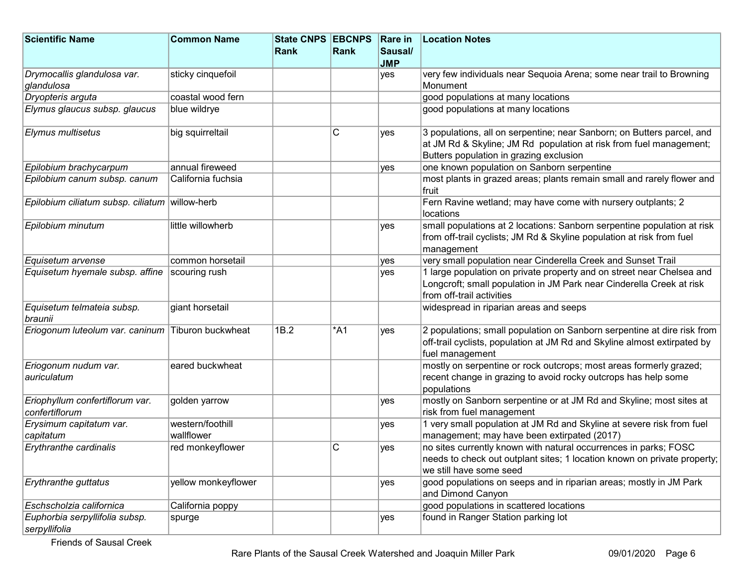| <b>Scientific Name</b>                            | <b>Common Name</b>  | <b>State CNPS EBCNPS</b> |      | <b>Rare in</b> | <b>Location Notes</b>                                                                                                                                                                   |
|---------------------------------------------------|---------------------|--------------------------|------|----------------|-----------------------------------------------------------------------------------------------------------------------------------------------------------------------------------------|
|                                                   |                     | Rank                     | Rank | Sausal/        |                                                                                                                                                                                         |
|                                                   |                     |                          |      | <b>JMP</b>     |                                                                                                                                                                                         |
| Drymocallis glandulosa var.                       | sticky cinquefoil   |                          |      | yes            | very few individuals near Sequoia Arena; some near trail to Browning                                                                                                                    |
| glandulosa                                        |                     |                          |      |                | Monument                                                                                                                                                                                |
| Dryopteris arguta                                 | coastal wood fern   |                          |      |                | good populations at many locations                                                                                                                                                      |
| Elymus glaucus subsp. glaucus                     | blue wildrye        |                          |      |                | good populations at many locations                                                                                                                                                      |
| Elymus multisetus                                 | big squirreltail    |                          | C    | yes            | 3 populations, all on serpentine; near Sanborn; on Butters parcel, and<br>at JM Rd & Skyline; JM Rd population at risk from fuel management;<br>Butters population in grazing exclusion |
| Epilobium brachycarpum                            | annual fireweed     |                          |      | ves            | one known population on Sanborn serpentine                                                                                                                                              |
| Epilobium canum subsp. canum                      | California fuchsia  |                          |      |                | most plants in grazed areas; plants remain small and rarely flower and<br>fruit                                                                                                         |
| Epilobium ciliatum subsp. ciliatum willow-herb    |                     |                          |      |                | Fern Ravine wetland; may have come with nursery outplants; 2<br>locations                                                                                                               |
| Epilobium minutum                                 | little willowherb   |                          |      | yes            | small populations at 2 locations: Sanborn serpentine population at risk<br>from off-trail cyclists; JM Rd & Skyline population at risk from fuel<br>management                          |
| Equisetum arvense                                 | common horsetail    |                          |      | yes            | very small population near Cinderella Creek and Sunset Trail                                                                                                                            |
| Equisetum hyemale subsp. affine                   | scouring rush       |                          |      | yes            | 1 large population on private property and on street near Chelsea and<br>Longcroft; small population in JM Park near Cinderella Creek at risk<br>from off-trail activities              |
| Equisetum telmateia subsp.<br>braunii             | giant horsetail     |                          |      |                | widespread in riparian areas and seeps                                                                                                                                                  |
| Eriogonum luteolum var. caninum Tiburon buckwheat |                     | 1B.2                     | *A1  | yes            | 2 populations; small population on Sanborn serpentine at dire risk from<br>off-trail cyclists, population at JM Rd and Skyline almost extirpated by<br>fuel management                  |
| Eriogonum nudum var.<br>auriculatum               | eared buckwheat     |                          |      |                | mostly on serpentine or rock outcrops; most areas formerly grazed;<br>recent change in grazing to avoid rocky outcrops has help some<br>populations                                     |
| Eriophyllum confertiflorum var.<br>confertiflorum | golden yarrow       |                          |      | yes            | mostly on Sanborn serpentine or at JM Rd and Skyline; most sites at<br>risk from fuel management                                                                                        |
| Erysimum capitatum var.                           | western/foothill    |                          |      | yes            | 1 very small population at JM Rd and Skyline at severe risk from fuel                                                                                                                   |
| capitatum                                         | wallflower          |                          |      |                | management; may have been extirpated (2017)                                                                                                                                             |
| Erythranthe cardinalis                            | red monkeyflower    |                          | C    | yes            | no sites currently known with natural occurrences in parks; FOSC<br>needs to check out outplant sites; 1 location known on private property;<br>we still have some seed                 |
| Erythranthe guttatus                              | yellow monkeyflower |                          |      | yes            | good populations on seeps and in riparian areas; mostly in JM Park<br>and Dimond Canyon                                                                                                 |
| Eschscholzia californica                          | California poppy    |                          |      |                | good populations in scattered locations                                                                                                                                                 |
| Euphorbia serpyllifolia subsp.<br>serpyllifolia   | spurge              |                          |      | yes            | found in Ranger Station parking lot                                                                                                                                                     |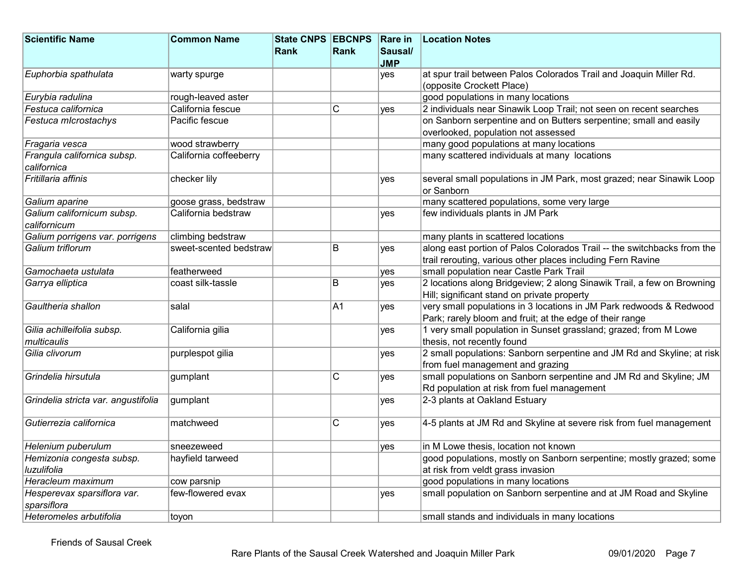| <b>Scientific Name</b>                                                              | <b>Common Name</b>                       | State CNPS EBCNPS |                | <b>Rare in</b> | <b>Location Notes</b>                                                                                                                                                                                                                                                 |
|-------------------------------------------------------------------------------------|------------------------------------------|-------------------|----------------|----------------|-----------------------------------------------------------------------------------------------------------------------------------------------------------------------------------------------------------------------------------------------------------------------|
|                                                                                     |                                          | Rank              | Rank           | Sausal/        |                                                                                                                                                                                                                                                                       |
|                                                                                     |                                          |                   |                | <b>JMP</b>     |                                                                                                                                                                                                                                                                       |
| Euphorbia spathulata                                                                | warty spurge                             |                   |                | yes            | at spur trail between Palos Colorados Trail and Joaquin Miller Rd.                                                                                                                                                                                                    |
|                                                                                     |                                          |                   |                |                | (opposite Crockett Place)                                                                                                                                                                                                                                             |
| Eurybia radulina                                                                    | rough-leaved aster                       |                   |                |                | good populations in many locations                                                                                                                                                                                                                                    |
| Festuca californica                                                                 | California fescue                        |                   | C              | ves            | 2 individuals near Sinawik Loop Trail; not seen on recent searches                                                                                                                                                                                                    |
| Festuca microstachys                                                                | Pacific fescue                           |                   |                |                | on Sanborn serpentine and on Butters serpentine; small and easily                                                                                                                                                                                                     |
|                                                                                     |                                          |                   |                |                | overlooked, population not assessed                                                                                                                                                                                                                                   |
| Fragaria vesca                                                                      | wood strawberry                          |                   |                |                | many good populations at many locations                                                                                                                                                                                                                               |
| Frangula californica subsp.                                                         | California coffeeberry                   |                   |                |                | many scattered individuals at many locations                                                                                                                                                                                                                          |
| californica                                                                         |                                          |                   |                |                |                                                                                                                                                                                                                                                                       |
| Fritillaria affinis                                                                 | checker lily                             |                   |                | yes            | several small populations in JM Park, most grazed; near Sinawik Loop                                                                                                                                                                                                  |
|                                                                                     |                                          |                   |                |                | or Sanborn                                                                                                                                                                                                                                                            |
| Galium aparine                                                                      | goose grass, bedstraw                    |                   |                |                | many scattered populations, some very large                                                                                                                                                                                                                           |
| Galium californicum subsp.                                                          | California bedstraw                      |                   |                | yes            | few individuals plants in JM Park                                                                                                                                                                                                                                     |
| californicum                                                                        |                                          |                   |                |                |                                                                                                                                                                                                                                                                       |
| Galium porrigens var. porrigens                                                     | climbing bedstraw                        |                   |                |                | many plants in scattered locations                                                                                                                                                                                                                                    |
| Galium triflorum                                                                    | sweet-scented bedstraw                   |                   | B              | yes            | along east portion of Palos Colorados Trail -- the switchbacks from the                                                                                                                                                                                               |
|                                                                                     |                                          |                   |                |                | trail rerouting, various other places including Fern Ravine                                                                                                                                                                                                           |
| Gamochaeta ustulata                                                                 | featherweed                              |                   |                | yes            | small population near Castle Park Trail                                                                                                                                                                                                                               |
| Garrya elliptica                                                                    | coast silk-tassle                        |                   | B              | yes            | 2 locations along Bridgeview; 2 along Sinawik Trail, a few on Browning                                                                                                                                                                                                |
|                                                                                     |                                          |                   |                |                | Hill; significant stand on private property                                                                                                                                                                                                                           |
| Gaultheria shallon                                                                  | salal                                    |                   | A1             | yes            | very small populations in 3 locations in JM Park redwoods & Redwood                                                                                                                                                                                                   |
|                                                                                     |                                          |                   |                |                | Park; rarely bloom and fruit; at the edge of their range                                                                                                                                                                                                              |
| Gilia achilleifolia subsp.                                                          | California gilia                         |                   |                | yes            | 1 very small population in Sunset grassland; grazed; from M Lowe                                                                                                                                                                                                      |
| multicaulis                                                                         |                                          |                   |                |                | thesis, not recently found                                                                                                                                                                                                                                            |
| Gilia clivorum                                                                      | purplespot gilia                         |                   |                | yes            | 2 small populations: Sanborn serpentine and JM Rd and Skyline; at risk                                                                                                                                                                                                |
|                                                                                     |                                          |                   |                |                | from fuel management and grazing                                                                                                                                                                                                                                      |
| Grindelia hirsutula                                                                 | gumplant                                 |                   | C              | yes            | small populations on Sanborn serpentine and JM Rd and Skyline; JM                                                                                                                                                                                                     |
|                                                                                     |                                          |                   |                |                | Rd population at risk from fuel management                                                                                                                                                                                                                            |
| Grindelia stricta var. angustifolia                                                 | gumplant                                 |                   |                | yes            | 2-3 plants at Oakland Estuary                                                                                                                                                                                                                                         |
|                                                                                     |                                          |                   |                |                |                                                                                                                                                                                                                                                                       |
| Gutierrezia californica                                                             | matchweed                                |                   | $\overline{C}$ | yes            | 4-5 plants at JM Rd and Skyline at severe risk from fuel management                                                                                                                                                                                                   |
|                                                                                     |                                          |                   |                |                |                                                                                                                                                                                                                                                                       |
| Helenium puberulum                                                                  | sneezeweed                               |                   |                | yes            | in M Lowe thesis, location not known                                                                                                                                                                                                                                  |
|                                                                                     |                                          |                   |                |                |                                                                                                                                                                                                                                                                       |
| luzulifolia                                                                         |                                          |                   |                |                |                                                                                                                                                                                                                                                                       |
| Heracleum maximum                                                                   |                                          |                   |                |                |                                                                                                                                                                                                                                                                       |
|                                                                                     | few-flowered evax                        |                   |                | yes            |                                                                                                                                                                                                                                                                       |
| sparsiflora                                                                         |                                          |                   |                |                |                                                                                                                                                                                                                                                                       |
|                                                                                     |                                          |                   |                |                |                                                                                                                                                                                                                                                                       |
| Hemizonia congesta subsp.<br>Hesperevax sparsiflora var.<br>Heteromeles arbutifolia | hayfield tarweed<br>cow parsnip<br>toyon |                   |                |                | good populations, mostly on Sanborn serpentine; mostly grazed; some<br>at risk from veldt grass invasion<br>good populations in many locations<br>small population on Sanborn serpentine and at JM Road and Skyline<br>small stands and individuals in many locations |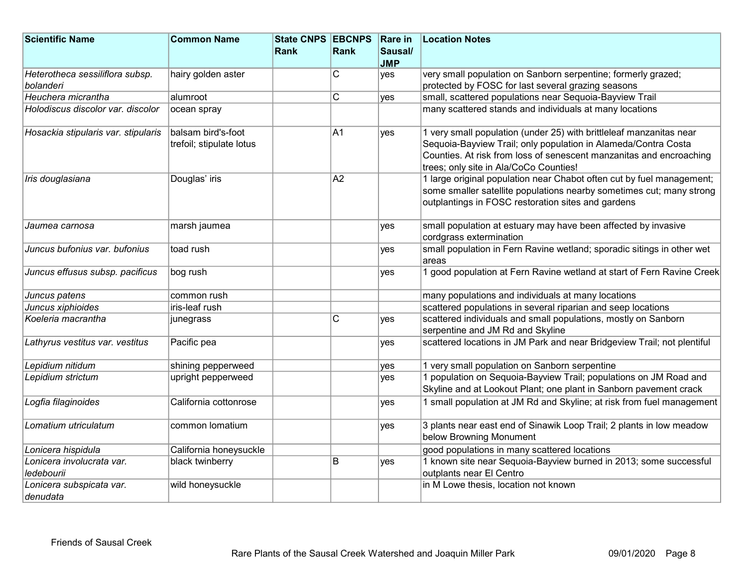| <b>Scientific Name</b>               | <b>Common Name</b>                             | State CNPS EBCNPS |                         | <b>Rare in</b> | <b>Location Notes</b>                                                                                                                                                                                                                                  |
|--------------------------------------|------------------------------------------------|-------------------|-------------------------|----------------|--------------------------------------------------------------------------------------------------------------------------------------------------------------------------------------------------------------------------------------------------------|
|                                      |                                                | <b>Rank</b>       | Rank                    | Sausal/        |                                                                                                                                                                                                                                                        |
|                                      |                                                |                   |                         | <b>JMP</b>     |                                                                                                                                                                                                                                                        |
| Heterotheca sessiliflora subsp.      | hairy golden aster                             |                   | $\overline{\mathrm{c}}$ | yes            | very small population on Sanborn serpentine; formerly grazed;                                                                                                                                                                                          |
| bolanderi                            |                                                |                   |                         |                | protected by FOSC for last several grazing seasons                                                                                                                                                                                                     |
| Heuchera micrantha                   | alumroot                                       |                   | C                       | ves            | small, scattered populations near Sequoia-Bayview Trail                                                                                                                                                                                                |
| Holodiscus discolor var. discolor    | ocean spray                                    |                   |                         |                | many scattered stands and individuals at many locations                                                                                                                                                                                                |
| Hosackia stipularis var. stipularis  | balsam bird's-foot<br>trefoil; stipulate lotus |                   | A1                      | ves            | 1 very small population (under 25) with brittleleaf manzanitas near<br>Sequoia-Bayview Trail; only population in Alameda/Contra Costa<br>Counties. At risk from loss of senescent manzanitas and encroaching<br>trees; only site in Ala/CoCo Counties! |
| Iris douglasiana                     | Douglas' iris                                  |                   | A <sub>2</sub>          |                | 1 large original population near Chabot often cut by fuel management;<br>some smaller satellite populations nearby sometimes cut; many strong<br>outplantings in FOSC restoration sites and gardens                                                    |
| Jaumea carnosa                       | marsh jaumea                                   |                   |                         | ves            | small population at estuary may have been affected by invasive<br>cordgrass extermination                                                                                                                                                              |
| Juncus bufonius var. bufonius        | toad rush                                      |                   |                         | yes            | small population in Fern Ravine wetland; sporadic sitings in other wet<br>areas                                                                                                                                                                        |
| Juncus effusus subsp. pacificus      | bog rush                                       |                   |                         | yes            | 1 good population at Fern Ravine wetland at start of Fern Ravine Creek                                                                                                                                                                                 |
| Juncus patens                        | common rush                                    |                   |                         |                | many populations and individuals at many locations                                                                                                                                                                                                     |
| Juncus xiphioides                    | iris-leaf rush                                 |                   |                         |                | scattered populations in several riparian and seep locations                                                                                                                                                                                           |
| Koeleria macrantha                   | junegrass                                      |                   | C                       | yes            | scattered individuals and small populations, mostly on Sanborn<br>serpentine and JM Rd and Skyline                                                                                                                                                     |
| Lathyrus vestitus var. vestitus      | Pacific pea                                    |                   |                         | yes            | scattered locations in JM Park and near Bridgeview Trail; not plentiful                                                                                                                                                                                |
| Lepidium nitidum                     | shining pepperweed                             |                   |                         | ves            | 1 very small population on Sanborn serpentine                                                                                                                                                                                                          |
| Lepidium strictum                    | upright pepperweed                             |                   |                         | ves            | 1 population on Sequoia-Bayview Trail; populations on JM Road and<br>Skyline and at Lookout Plant; one plant in Sanborn pavement crack                                                                                                                 |
| Logfia filaginoides                  | California cottonrose                          |                   |                         | yes            | 1 small population at JM Rd and Skyline; at risk from fuel management                                                                                                                                                                                  |
| Lomatium utriculatum                 | common lomatium                                |                   |                         | yes            | 3 plants near east end of Sinawik Loop Trail; 2 plants in low meadow<br>below Browning Monument                                                                                                                                                        |
| Lonicera hispidula                   | California honeysuckle                         |                   |                         |                | good populations in many scattered locations                                                                                                                                                                                                           |
| Lonicera involucrata var.            | black twinberry                                |                   | B                       | yes            | 1 known site near Sequoia-Bayview burned in 2013; some successful                                                                                                                                                                                      |
| ledebourii                           |                                                |                   |                         |                | outplants near El Centro                                                                                                                                                                                                                               |
| Lonicera subspicata var.<br>denudata | wild honeysuckle                               |                   |                         |                | in M Lowe thesis, location not known                                                                                                                                                                                                                   |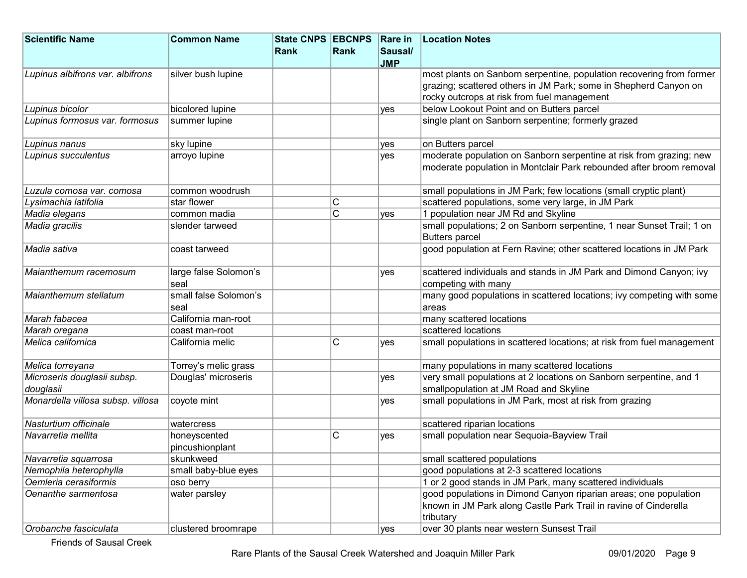| <b>Scientific Name</b>            | <b>Common Name</b>            | State CNPS EBCNPS |                       | Rare in    | <b>Location Notes</b>                                                          |
|-----------------------------------|-------------------------------|-------------------|-----------------------|------------|--------------------------------------------------------------------------------|
|                                   |                               | Rank              | Rank                  | Sausal/    |                                                                                |
|                                   |                               |                   |                       | <b>JMP</b> |                                                                                |
| Lupinus albifrons var. albifrons  | silver bush lupine            |                   |                       |            | most plants on Sanborn serpentine, population recovering from former           |
|                                   |                               |                   |                       |            | grazing; scattered others in JM Park; some in Shepherd Canyon on               |
|                                   |                               |                   |                       |            | rocky outcrops at risk from fuel management                                    |
| Lupinus bicolor                   | bicolored lupine              |                   |                       | ves        | below Lookout Point and on Butters parcel                                      |
| Lupinus formosus var. formosus    | summer lupine                 |                   |                       |            | single plant on Sanborn serpentine; formerly grazed                            |
| Lupinus nanus                     | sky lupine                    |                   |                       | yes        | on Butters parcel                                                              |
| Lupinus succulentus               | arroyo lupine                 |                   |                       | yes        | moderate population on Sanborn serpentine at risk from grazing; new            |
|                                   |                               |                   |                       |            | moderate population in Montclair Park rebounded after broom removal            |
| Luzula comosa var. comosa         | common woodrush               |                   |                       |            | small populations in JM Park; few locations (small cryptic plant)              |
| Lysimachia latifolia              | star flower                   |                   | C                     |            | scattered populations, some very large, in JM Park                             |
| Madia elegans                     | common madia                  |                   | $\overline{\text{c}}$ | ves        | 1 population near JM Rd and Skyline                                            |
| Madia gracilis                    | slender tarweed               |                   |                       |            | small populations; 2 on Sanborn serpentine, 1 near Sunset Trail; 1 on          |
|                                   |                               |                   |                       |            | <b>Butters parcel</b>                                                          |
| Madia sativa                      | coast tarweed                 |                   |                       |            | good population at Fern Ravine; other scattered locations in JM Park           |
| Maianthemum racemosum             | large false Solomon's         |                   |                       | yes        | scattered individuals and stands in JM Park and Dimond Canyon; ivy             |
|                                   | seal                          |                   |                       |            | competing with many                                                            |
| Maianthemum stellatum             | small false Solomon's<br>seal |                   |                       |            | many good populations in scattered locations; ivy competing with some<br>areas |
| Marah fabacea                     | California man-root           |                   |                       |            | many scattered locations                                                       |
| Marah oregana                     | coast man-root                |                   |                       |            | scattered locations                                                            |
| Melica californica                | California melic              |                   | C                     | yes        | small populations in scattered locations; at risk from fuel management         |
| Melica torreyana                  | Torrey's melic grass          |                   |                       |            | many populations in many scattered locations                                   |
| Microseris douglasii subsp.       | Douglas' microseris           |                   |                       | yes        | very small populations at 2 locations on Sanborn serpentine, and 1             |
| douglasii                         |                               |                   |                       |            | smallpopulation at JM Road and Skyline                                         |
| Monardella villosa subsp. villosa | coyote mint                   |                   |                       | yes        | small populations in JM Park, most at risk from grazing                        |
| Nasturtium officinale             | watercress                    |                   |                       |            | scattered riparian locations                                                   |
| Navarretia mellita                | honeyscented                  |                   | C                     | yes        | small population near Sequoia-Bayview Trail                                    |
|                                   | pincushionplant               |                   |                       |            |                                                                                |
| Navarretia squarrosa              | skunkweed                     |                   |                       |            | small scattered populations                                                    |
| Nemophila heterophylla            | small baby-blue eyes          |                   |                       |            | good populations at 2-3 scattered locations                                    |
| Oemleria cerasiformis             | oso berry                     |                   |                       |            | 1 or 2 good stands in JM Park, many scattered individuals                      |
| Oenanthe sarmentosa               | water parsley                 |                   |                       |            | good populations in Dimond Canyon riparian areas; one population               |
|                                   |                               |                   |                       |            | known in JM Park along Castle Park Trail in ravine of Cinderella               |
|                                   |                               |                   |                       |            | tributary                                                                      |
| Orobanche fasciculata             | clustered broomrape           |                   |                       | yes        | over 30 plants near western Sunsest Trail                                      |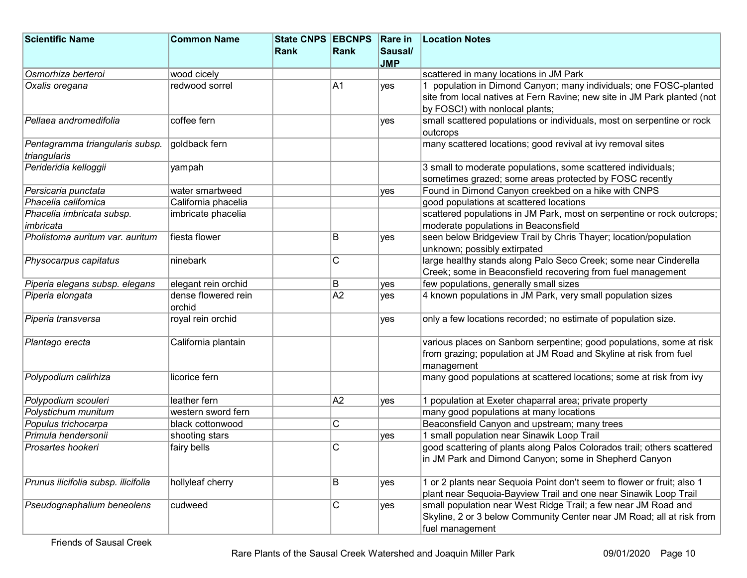| <b>Scientific Name</b>                          | <b>Common Name</b>            | <b>State CNPS EBCNPS</b> |                 | <b>Rare in</b> | <b>Location Notes</b>                                                    |
|-------------------------------------------------|-------------------------------|--------------------------|-----------------|----------------|--------------------------------------------------------------------------|
|                                                 |                               | Rank                     | Rank            | Sausal/        |                                                                          |
|                                                 |                               |                          |                 | <b>JMP</b>     |                                                                          |
| Osmorhiza berteroi                              | wood cicely                   |                          |                 |                | scattered in many locations in JM Park                                   |
| Oxalis oregana                                  | redwood sorrel                |                          | A1              | yes            | 1 population in Dimond Canyon; many individuals; one FOSC-planted        |
|                                                 |                               |                          |                 |                | site from local natives at Fern Ravine; new site in JM Park planted (not |
|                                                 |                               |                          |                 |                | by FOSC!) with nonlocal plants;                                          |
| Pellaea andromedifolia                          | coffee fern                   |                          |                 | <b>ves</b>     | small scattered populations or individuals, most on serpentine or rock   |
|                                                 |                               |                          |                 |                | outcrops                                                                 |
| Pentagramma triangularis subsp.<br>triangularis | goldback fern                 |                          |                 |                | many scattered locations; good revival at ivy removal sites              |
| Perideridia kelloggii                           | yampah                        |                          |                 |                | 3 small to moderate populations, some scattered individuals;             |
|                                                 |                               |                          |                 |                | sometimes grazed; some areas protected by FOSC recently                  |
| Persicaria punctata                             | water smartweed               |                          |                 | yes            | Found in Dimond Canyon creekbed on a hike with CNPS                      |
| Phacelia californica                            | California phacelia           |                          |                 |                | good populations at scattered locations                                  |
| Phacelia imbricata subsp.                       | imbricate phacelia            |                          |                 |                | scattered populations in JM Park, most on serpentine or rock outcrops;   |
| imbricata                                       |                               |                          |                 |                | moderate populations in Beaconsfield                                     |
| Pholistoma auritum var. auritum                 | fiesta flower                 |                          | B               | yes            | seen below Bridgeview Trail by Chris Thayer; location/population         |
|                                                 |                               |                          |                 |                | unknown; possibly extirpated                                             |
| Physocarpus capitatus                           | ninebark                      |                          | C               |                | large healthy stands along Palo Seco Creek; some near Cinderella         |
|                                                 |                               |                          |                 |                | Creek; some in Beaconsfield recovering from fuel management              |
| Piperia elegans subsp. elegans                  | elegant rein orchid           |                          | B               | yes            | few populations, generally small sizes                                   |
| Piperia elongata                                | dense flowered rein<br>orchid |                          | $\overline{A2}$ | ves            | 4 known populations in JM Park, very small population sizes              |
| Piperia transversa                              | royal rein orchid             |                          |                 | yes            | only a few locations recorded; no estimate of population size.           |
| Plantago erecta                                 | California plantain           |                          |                 |                | various places on Sanborn serpentine; good populations, some at risk     |
|                                                 |                               |                          |                 |                | from grazing; population at JM Road and Skyline at risk from fuel        |
|                                                 |                               |                          |                 |                | management                                                               |
| Polypodium calirhiza                            | licorice fern                 |                          |                 |                | many good populations at scattered locations; some at risk from ivy      |
| Polypodium scouleri                             | leather fern                  |                          | A <sub>2</sub>  | yes            | 1 population at Exeter chaparral area; private property                  |
| Polystichum munitum                             | western sword fern            |                          |                 |                | many good populations at many locations                                  |
| Populus trichocarpa                             | black cottonwood              |                          | C               |                | Beaconsfield Canyon and upstream; many trees                             |
| Primula hendersonii                             | shooting stars                |                          |                 | yes            | 1 small population near Sinawik Loop Trail                               |
| Prosartes hookeri                               | fairy bells                   |                          | C               |                | good scattering of plants along Palos Colorados trail; others scattered  |
|                                                 |                               |                          |                 |                | ∣in JM Park and Dimond Canyon; some in Shepherd Canyon                   |
| Prunus ilicifolia subsp. ilicifolia             | hollyleaf cherry              |                          | B               | yes            | 1 or 2 plants near Sequoia Point don't seem to flower or fruit; also 1   |
|                                                 |                               |                          |                 |                | plant near Sequoia-Bayview Trail and one near Sinawik Loop Trail         |
| Pseudognaphalium beneolens                      | cudweed                       |                          | C               | yes            | small population near West Ridge Trail; a few near JM Road and           |
|                                                 |                               |                          |                 |                | Skyline, 2 or 3 below Community Center near JM Road; all at risk from    |
|                                                 |                               |                          |                 |                | fuel management                                                          |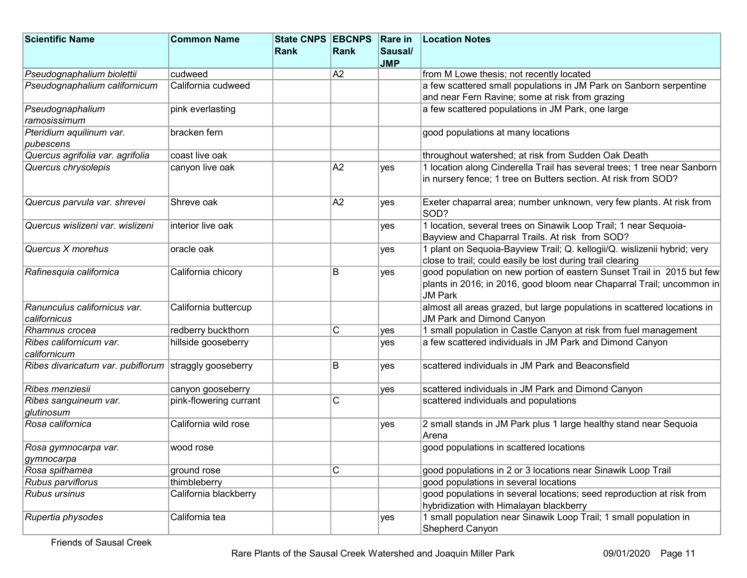| <b>Scientific Name</b>                                | <b>Common Name</b>     | State CNPS EBCNPS |      | <b>Rare in</b> | <b>Location Notes</b>                                                    |
|-------------------------------------------------------|------------------------|-------------------|------|----------------|--------------------------------------------------------------------------|
|                                                       |                        | Rank              | Rank | Sausal/        |                                                                          |
|                                                       |                        |                   |      | <b>JMP</b>     |                                                                          |
| Pseudognaphalium biolettii                            | cudweed                |                   | A2   |                | from M Lowe thesis; not recently located                                 |
| Pseudognaphalium californicum                         | California cudweed     |                   |      |                | a few scattered small populations in JM Park on Sanborn serpentine       |
|                                                       |                        |                   |      |                | and near Fern Ravine; some at risk from grazing                          |
| Pseudognaphalium                                      | pink everlasting       |                   |      |                | a few scattered populations in JM Park, one large                        |
| ramosissimum                                          |                        |                   |      |                |                                                                          |
| Pteridium aquilinum var.                              | bracken fern           |                   |      |                | good populations at many locations                                       |
| pubescens                                             |                        |                   |      |                |                                                                          |
| Quercus agrifolia var. agrifolia                      | coast live oak         |                   |      |                | throughout watershed; at risk from Sudden Oak Death                      |
| Quercus chrysolepis                                   | canyon live oak        |                   | A2   | yes            | 1 location along Cinderella Trail has several trees; 1 tree near Sanborn |
|                                                       |                        |                   |      |                | in nursery fence; 1 tree on Butters section. At risk from SOD?           |
|                                                       |                        |                   |      |                |                                                                          |
| Quercus parvula var. shrevei                          | Shreve oak             |                   | A2   | yes            | Exeter chaparral area; number unknown, very few plants. At risk from     |
|                                                       |                        |                   |      |                | SOD?                                                                     |
| Quercus wislizeni var. wislizeni                      | Interior live oak      |                   |      | yes            | 1 location, several trees on Sinawik Loop Trail; 1 near Sequoia-         |
|                                                       |                        |                   |      |                | Bayview and Chaparral Trails. At risk from SOD?                          |
| Quercus X morehus                                     | oracle oak             |                   |      | yes            | 1 plant on Sequoia-Bayview Trail; Q. kellogii/Q. wislizenii hybrid; very |
|                                                       |                        |                   |      |                | close to trail; could easily be lost during trail clearing               |
| Rafinesquia californica                               | California chicory     |                   | B    | yes            | good population on new portion of eastern Sunset Trail in 2015 but few   |
|                                                       |                        |                   |      |                | plants in 2016; in 2016, good bloom near Chaparral Trail; uncommon in    |
|                                                       |                        |                   |      |                | <b>JM Park</b>                                                           |
| Ranunculus californicus var.                          | California buttercup   |                   |      |                | almost all areas grazed, but large populations in scattered locations in |
| californicus                                          |                        |                   |      |                | <b>JM Park and Dimond Canyon</b>                                         |
| Rhamnus crocea                                        | redberry buckthorn     |                   | C    | yes            | 1 small population in Castle Canyon at risk from fuel management         |
| Ribes californicum var.                               | hillside gooseberry    |                   |      | yes            | a few scattered individuals in JM Park and Dimond Canyon                 |
| californicum                                          |                        |                   |      |                |                                                                          |
| Ribes divaricatum var. pubiflorum straggly gooseberry |                        |                   | B    | yes            | scattered individuals in JM Park and Beaconsfield                        |
|                                                       |                        |                   |      |                |                                                                          |
| Ribes menziesii                                       | canyon gooseberry      |                   |      | yes            | scattered individuals in JM Park and Dimond Canyon                       |
| Ribes sanguineum var.                                 | pink-flowering currant |                   | C    |                | scattered individuals and populations                                    |
| glutinosum                                            |                        |                   |      |                |                                                                          |
| Rosa californica                                      | California wild rose   |                   |      | yes            | 2 small stands in JM Park plus 1 large healthy stand near Sequoia        |
|                                                       |                        |                   |      |                | Arena                                                                    |
| Rosa gymnocarpa var.                                  | wood rose              |                   |      |                | good populations in scattered locations                                  |
| gymnocarpa                                            |                        |                   |      |                |                                                                          |
| Rosa spithamea                                        | ground rose            |                   | С    |                | good populations in 2 or 3 locations near Sinawik Loop Trail             |
| Rubus parviflorus                                     | thimbleberry           |                   |      |                | good populations in several locations                                    |
| <b>Rubus ursinus</b>                                  | California blackberry  |                   |      |                | good populations in several locations; seed reproduction at risk from    |
|                                                       |                        |                   |      |                | hybridization with Himalayan blackberry                                  |
| Rupertia physodes                                     | California tea         |                   |      | yes            | 1 small population near Sinawik Loop Trail; 1 small population in        |
|                                                       |                        |                   |      |                | Shepherd Canyon                                                          |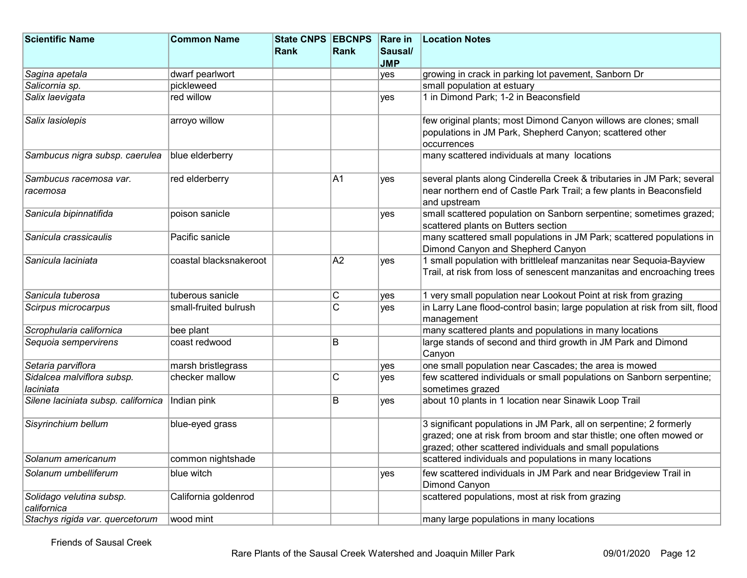| <b>Scientific Name</b>                  | <b>Common Name</b>     | State CNPS EBCNPS Rare in |                         |            | <b>Location Notes</b>                                                                                                                                                                                   |
|-----------------------------------------|------------------------|---------------------------|-------------------------|------------|---------------------------------------------------------------------------------------------------------------------------------------------------------------------------------------------------------|
|                                         |                        | <b>Rank</b>               | Rank                    | Sausal/    |                                                                                                                                                                                                         |
|                                         |                        |                           |                         | <b>JMP</b> |                                                                                                                                                                                                         |
| Sagina apetala                          | dwarf pearlwort        |                           |                         | yes        | growing in crack in parking lot pavement, Sanborn Dr                                                                                                                                                    |
| Salicornia sp.                          | pickleweed             |                           |                         |            | small population at estuary                                                                                                                                                                             |
| Salix laevigata                         | red willow             |                           |                         | yes        | 1 in Dimond Park; 1-2 in Beaconsfield                                                                                                                                                                   |
| Salix lasiolepis                        | arroyo willow          |                           |                         |            | few original plants; most Dimond Canyon willows are clones; small<br>populations in JM Park, Shepherd Canyon; scattered other<br>occurrences                                                            |
| Sambucus nigra subsp. caerulea          | blue elderberry        |                           |                         |            | many scattered individuals at many locations                                                                                                                                                            |
| Sambucus racemosa var.<br>racemosa      | red elderberry         |                           | A1                      | yes        | several plants along Cinderella Creek & tributaries in JM Park; several<br>near northern end of Castle Park Trail; a few plants in Beaconsfield<br>and upstream                                         |
| Sanicula bipinnatifida                  | poison sanicle         |                           |                         | yes        | small scattered population on Sanborn serpentine; sometimes grazed;<br>scattered plants on Butters section                                                                                              |
| Sanicula crassicaulis                   | Pacific sanicle        |                           |                         |            | many scattered small populations in JM Park; scattered populations in<br>Dimond Canyon and Shepherd Canyon                                                                                              |
| Sanicula laciniata                      | coastal blacksnakeroot |                           | A2                      | yes        | 1 small population with brittleleaf manzanitas near Sequoia-Bayview<br>Trail, at risk from loss of senescent manzanitas and encroaching trees                                                           |
| Sanicula tuberosa                       | tuberous sanicle       |                           | С                       | yes        | 1 very small population near Lookout Point at risk from grazing                                                                                                                                         |
| Scirpus microcarpus                     | small-fruited bulrush  |                           | $\overline{\mathrm{c}}$ | ves        | in Larry Lane flood-control basin; large population at risk from silt, flood<br>management                                                                                                              |
| Scrophularia californica                | bee plant              |                           |                         |            | many scattered plants and populations in many locations                                                                                                                                                 |
| Sequoia sempervirens                    | coast redwood          |                           | B                       |            | large stands of second and third growth in JM Park and Dimond<br>Canyon                                                                                                                                 |
| Setaria parviflora                      | marsh bristlegrass     |                           |                         | yes        | one small population near Cascades; the area is mowed                                                                                                                                                   |
| Sidalcea malviflora subsp.<br>laciniata | checker mallow         |                           | $\mathsf C$             | yes        | few scattered individuals or small populations on Sanborn serpentine;<br>sometimes grazed                                                                                                               |
| Silene laciniata subsp. californica     | Indian pink            |                           | B                       | yes        | about 10 plants in 1 location near Sinawik Loop Trail                                                                                                                                                   |
| Sisyrinchium bellum                     | blue-eyed grass        |                           |                         |            | 3 significant populations in JM Park, all on serpentine; 2 formerly<br>grazed; one at risk from broom and star thistle; one often mowed or<br>grazed; other scattered individuals and small populations |
| Solanum americanum                      | common nightshade      |                           |                         |            | scattered individuals and populations in many locations                                                                                                                                                 |
| Solanum umbelliferum                    | blue witch             |                           |                         | yes        | few scattered individuals in JM Park and near Bridgeview Trail in<br>Dimond Canyon                                                                                                                      |
| Solidago velutina subsp.<br>californica | California goldenrod   |                           |                         |            | scattered populations, most at risk from grazing                                                                                                                                                        |
| Stachys rigida var. quercetorum         | wood mint              |                           |                         |            | many large populations in many locations                                                                                                                                                                |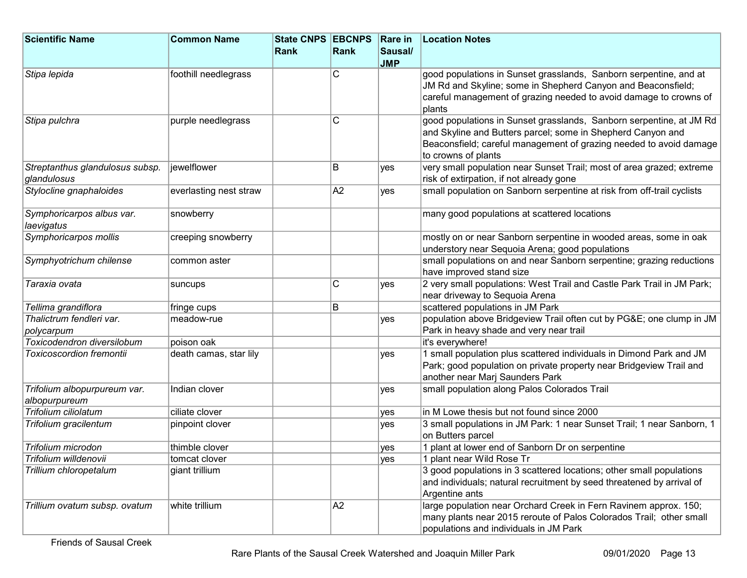| <b>Scientific Name</b>                  | <b>Common Name</b>     | <b>State CNPS EBCNPS</b> |                | <b>Rare in</b> | <b>Location Notes</b>                                                                                                                                                                                                           |
|-----------------------------------------|------------------------|--------------------------|----------------|----------------|---------------------------------------------------------------------------------------------------------------------------------------------------------------------------------------------------------------------------------|
|                                         |                        | Rank                     | Rank           | Sausal/        |                                                                                                                                                                                                                                 |
|                                         |                        |                          |                | <b>JMP</b>     |                                                                                                                                                                                                                                 |
| Stipa lepida                            | foothill needlegrass   |                          | C              |                | good populations in Sunset grasslands, Sanborn serpentine, and at                                                                                                                                                               |
|                                         |                        |                          |                |                | JM Rd and Skyline; some in Shepherd Canyon and Beaconsfield;                                                                                                                                                                    |
|                                         |                        |                          |                |                | careful management of grazing needed to avoid damage to crowns of                                                                                                                                                               |
|                                         |                        |                          |                |                | plants                                                                                                                                                                                                                          |
| Stipa pulchra                           | purple needlegrass     |                          | C              |                | good populations in Sunset grasslands, Sanborn serpentine, at JM Rd<br>and Skyline and Butters parcel; some in Shepherd Canyon and<br>Beaconsfield; careful management of grazing needed to avoid damage<br>to crowns of plants |
| Streptanthus glandulosus subsp.         | iewelflower            |                          | В              | yes            | very small population near Sunset Trail; most of area grazed; extreme                                                                                                                                                           |
| glandulosus                             |                        |                          |                |                | risk of extirpation, if not already gone                                                                                                                                                                                        |
| Stylocline gnaphaloides                 | everlasting nest straw |                          | A2             | <b>ves</b>     | small population on Sanborn serpentine at risk from off-trail cyclists                                                                                                                                                          |
| Symphoricarpos albus var.<br>laevigatus | snowberry              |                          |                |                | many good populations at scattered locations                                                                                                                                                                                    |
| Symphoricarpos mollis                   | creeping snowberry     |                          |                |                | mostly on or near Sanborn serpentine in wooded areas, some in oak                                                                                                                                                               |
|                                         |                        |                          |                |                | understory near Sequoia Arena; good populations                                                                                                                                                                                 |
| Symphyotrichum chilense                 | common aster           |                          |                |                | small populations on and near Sanborn serpentine; grazing reductions                                                                                                                                                            |
|                                         |                        |                          |                |                | have improved stand size                                                                                                                                                                                                        |
| Taraxia ovata                           | suncups                |                          | C              | yes            | 2 very small populations: West Trail and Castle Park Trail in JM Park;                                                                                                                                                          |
|                                         |                        |                          |                |                | near driveway to Sequoia Arena                                                                                                                                                                                                  |
| Tellima grandiflora                     | fringe cups            |                          | В              |                | scattered populations in JM Park                                                                                                                                                                                                |
| Thalictrum fendleri var.                | meadow-rue             |                          |                | yes            | population above Bridgeview Trail often cut by PG&E one clump in JM                                                                                                                                                             |
| polycarpum                              |                        |                          |                |                | Park in heavy shade and very near trail                                                                                                                                                                                         |
| Toxicodendron diversilobum              | poison oak             |                          |                |                | it's everywhere!                                                                                                                                                                                                                |
| <b>Toxicoscordion fremontii</b>         | death camas, star lily |                          |                | yes            | 1 small population plus scattered individuals in Dimond Park and JM                                                                                                                                                             |
|                                         |                        |                          |                |                | Park; good population on private property near Bridgeview Trail and                                                                                                                                                             |
|                                         |                        |                          |                |                | another near Marj Saunders Park                                                                                                                                                                                                 |
| Trifolium albopurpureum var.            | Indian clover          |                          |                | yes            | small population along Palos Colorados Trail                                                                                                                                                                                    |
| albopurpureum                           |                        |                          |                |                |                                                                                                                                                                                                                                 |
| Trifolium ciliolatum                    | ciliate clover         |                          |                | yes            | in M Lowe thesis but not found since 2000                                                                                                                                                                                       |
| Trifolium gracilentum                   | pinpoint clover        |                          |                | yes            | 3 small populations in JM Park: 1 near Sunset Trail; 1 near Sanborn, 1<br>on Butters parcel                                                                                                                                     |
| Trifolium microdon                      | thimble clover         |                          |                | yes            | 1 plant at lower end of Sanborn Dr on serpentine                                                                                                                                                                                |
| Trifolium willdenovii                   | tomcat clover          |                          |                | yes            | 1 plant near Wild Rose Tr                                                                                                                                                                                                       |
| Trillium chloropetalum                  | giant trillium         |                          |                |                | 3 good populations in 3 scattered locations; other small populations                                                                                                                                                            |
|                                         |                        |                          |                |                | and individuals; natural recruitment by seed threatened by arrival of                                                                                                                                                           |
|                                         |                        |                          |                |                | Argentine ants                                                                                                                                                                                                                  |
| Trillium ovatum subsp. ovatum           | white trillium         |                          | A <sub>2</sub> |                | large population near Orchard Creek in Fern Ravinem approx. 150;                                                                                                                                                                |
|                                         |                        |                          |                |                | many plants near 2015 reroute of Palos Colorados Trail; other small                                                                                                                                                             |
|                                         |                        |                          |                |                | populations and individuals in JM Park                                                                                                                                                                                          |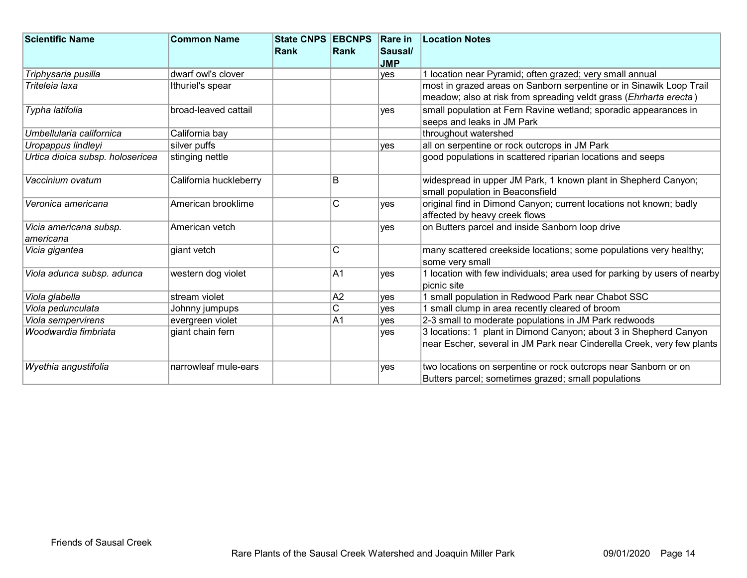| <b>Scientific Name</b>           | <b>Common Name</b>     | <b>State CNPS EBCNPS</b> |              | <b>Rare in</b> | <b>Location Notes</b>                                                     |
|----------------------------------|------------------------|--------------------------|--------------|----------------|---------------------------------------------------------------------------|
|                                  |                        | <b>Rank</b>              | Rank         | Sausal/        |                                                                           |
|                                  |                        |                          |              | <b>JMP</b>     |                                                                           |
| Triphysaria pusilla              | dwarf owl's clover     |                          |              | yes            | 1 location near Pyramid; often grazed; very small annual                  |
| Triteleia laxa                   | Ithuriel's spear       |                          |              |                | most in grazed areas on Sanborn serpentine or in Sinawik Loop Trail       |
|                                  |                        |                          |              |                | meadow; also at risk from spreading veldt grass (Ehrharta erecta)         |
| Typha latifolia                  | broad-leaved cattail   |                          |              | <b>ves</b>     | small population at Fern Ravine wetland; sporadic appearances in          |
|                                  |                        |                          |              |                | seeps and leaks in JM Park                                                |
| Umbellularia californica         | California bay         |                          |              |                | throughout watershed                                                      |
| Uropappus lindleyi               | silver puffs           |                          |              | ves            | all on serpentine or rock outcrops in JM Park                             |
| Urtica dioica subsp. holosericea | stinging nettle        |                          |              |                | good populations in scattered riparian locations and seeps                |
|                                  |                        |                          |              |                |                                                                           |
| Vaccinium ovatum                 | California huckleberry |                          | B            |                | widespread in upper JM Park, 1 known plant in Shepherd Canyon;            |
|                                  |                        |                          |              |                | small population in Beaconsfield                                          |
| Veronica americana               | American brooklime     |                          | $\mathsf{C}$ | ves            | original find in Dimond Canyon; current locations not known; badly        |
|                                  |                        |                          |              |                | affected by heavy creek flows                                             |
| Vicia americana subsp.           | American vetch         |                          |              | ves            | on Butters parcel and inside Sanborn loop drive                           |
| americana                        |                        |                          |              |                |                                                                           |
| Vicia gigantea                   | giant vetch            |                          | C            |                | many scattered creekside locations; some populations very healthy;        |
|                                  |                        |                          |              |                | some very small                                                           |
| Viola adunca subsp. adunca       | western dog violet     |                          | A1           | yes            | 1 location with few individuals; area used for parking by users of nearby |
|                                  |                        |                          |              |                | picnic site                                                               |
| Viola glabella                   | stream violet          |                          | A2           | ves            | 1 small population in Redwood Park near Chabot SSC                        |
| Viola pedunculata                | Johnny jumpups         |                          | C            | yes            | 1 small clump in area recently cleared of broom                           |
| Viola sempervirens               | evergreen violet       |                          | A1           | ves            | 2-3 small to moderate populations in JM Park redwoods                     |
| Woodwardia fimbriata             | giant chain fern       |                          |              | ves            | 3 locations: 1 plant in Dimond Canyon; about 3 in Shepherd Canyon         |
|                                  |                        |                          |              |                | near Escher, several in JM Park near Cinderella Creek, very few plants    |
|                                  |                        |                          |              |                |                                                                           |
| Wyethia angustifolia             | narrowleaf mule-ears   |                          |              | <b>ves</b>     | two locations on serpentine or rock outcrops near Sanborn or on           |
|                                  |                        |                          |              |                | Butters parcel; sometimes grazed; small populations                       |